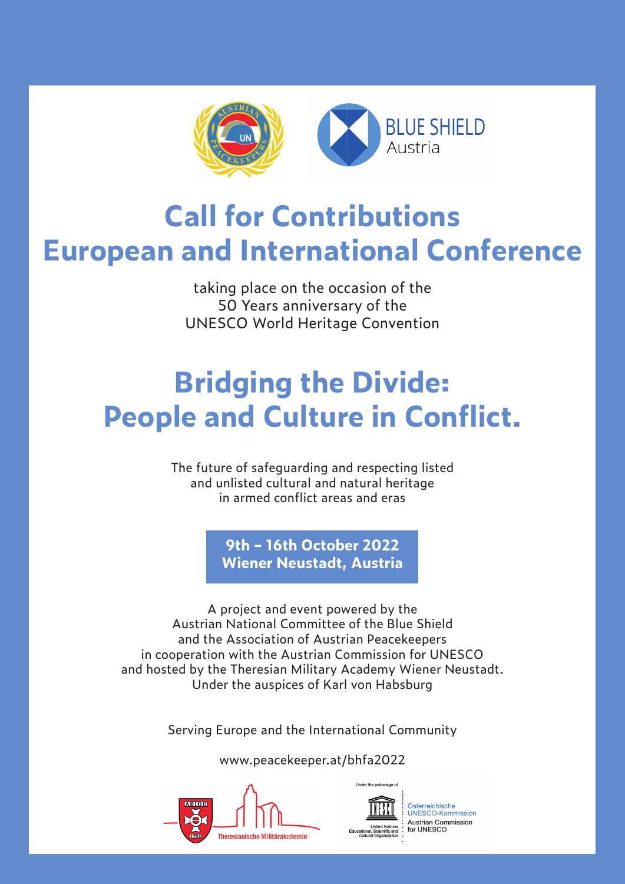

## **Call for Contributions European and International Conference**

taking place on the occasion of the 50 Years anniversary of the UNESCO World Heritage Convention

# **Bridging the Divide: People and Culture in Conflict.**

The future of safeguarding and respecting listed and unlisted cultural and natural heritage in armed conflict areas and eras

> **9th – 16th October 2022 Wiener Neustadt, Austria**

A project and event powered by the Austrian National Committee of the Blue Shield and the Association of Austrian Peacekeepers in cooperation with the Austrian Commission for UNESCO and hosted by the Theresian Military Academy Wiener Neustadt. Under the auspices of Karl von Habsburg

Serving Europe and the International Community

www.peacekeeper.at/bhfa2022





Österreichische UNESCO-Kommission Austrian Commission<br>for UNESCO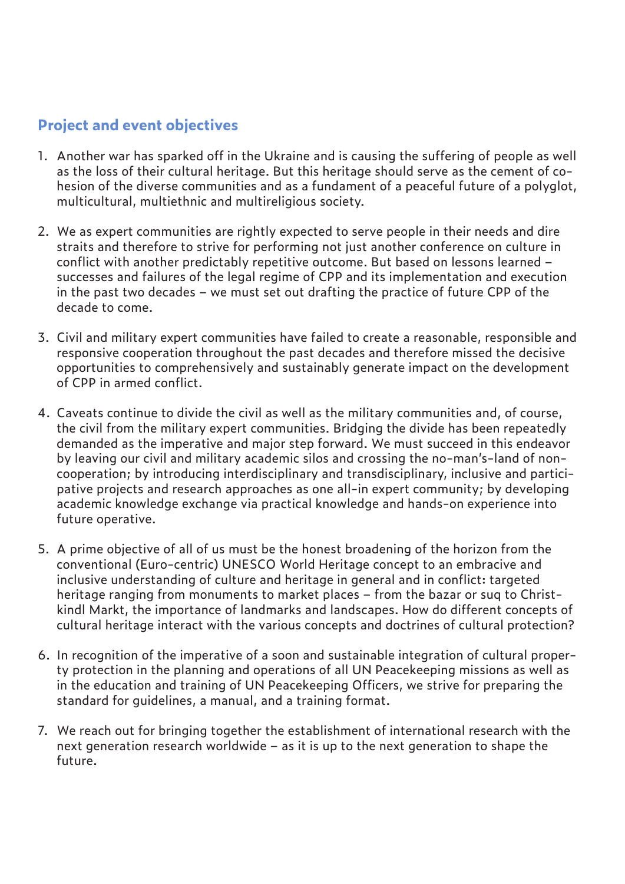### **Project and event objectives**

- 1. Another war has sparked off in the Ukraine and is causing the suffering of people as well as the loss of their cultural heritage. But this heritage should serve as the cement of cohesion of the diverse communities and as a fundament of a peaceful future of a polyglot, multicultural, multiethnic and multireligious society.
- 2. We as expert communities are rightly expected to serve people in their needs and dire straits and therefore to strive for performing not just another conference on culture in conflict with another predictably repetitive outcome. But based on lessons learned – successes and failures of the legal regime of CPP and its implementation and execution in the past two decades – we must set out drafting the practice of future CPP of the decade to come.
- 3. Civil and military expert communities have failed to create a reasonable, responsible and responsive cooperation throughout the past decades and therefore missed the decisive opportunities to comprehensively and sustainably generate impact on the development of CPP in armed conflict.
- 4. Caveats continue to divide the civil as well as the military communities and, of course, the civil from the military expert communities. Bridging the divide has been repeatedly demanded as the imperative and major step forward. We must succeed in this endeavor by leaving our civil and military academic silos and crossing the no-man's-land of noncooperation; by introducing interdisciplinary and transdisciplinary, inclusive and participative projects and research approaches as one all-in expert community; by developing academic knowledge exchange via practical knowledge and hands-on experience into future operative.
- 5. A prime objective of all of us must be the honest broadening of the horizon from the conventional (Euro-centric) UNESCO World Heritage concept to an embracive and inclusive understanding of culture and heritage in general and in conflict: targeted heritage ranging from monuments to market places – from the bazar or suq to Christkindl Markt, the importance of landmarks and landscapes. How do different concepts of cultural heritage interact with the various concepts and doctrines of cultural protection?
- 6. In recognition of the imperative of a soon and sustainable integration of cultural property protection in the planning and operations of all UN Peacekeeping missions as well as in the education and training of UN Peacekeeping Officers, we strive for preparing the standard for guidelines, a manual, and a training format.
- 7. We reach out for bringing together the establishment of international research with the next generation research worldwide – as it is up to the next generation to shape the future.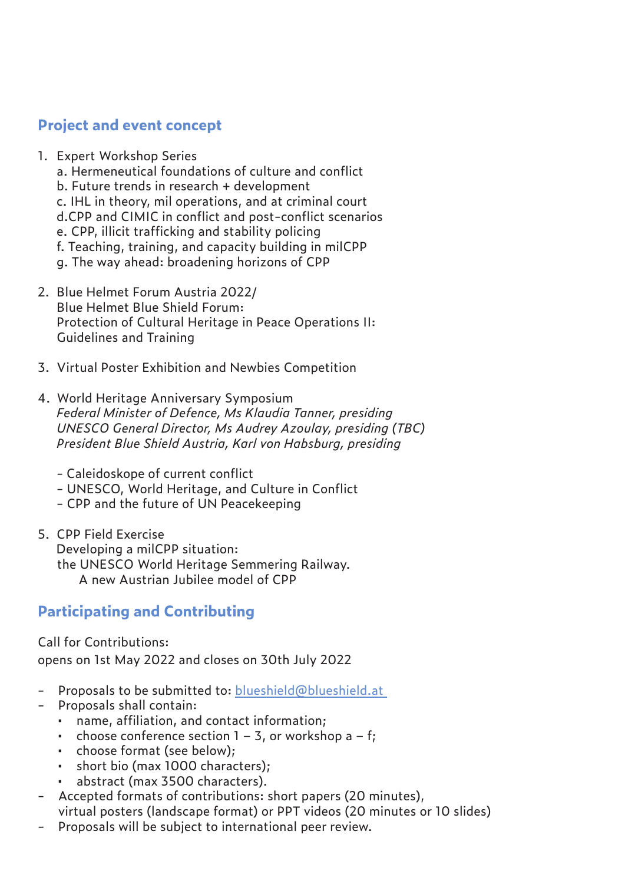#### **Project and event concept**

- 1. Expert Workshop Series
	- a. Hermeneutical foundations of culture and conflict
	- b. Future trends in research + development
	- c. IHL in theory, mil operations, and at criminal court
	- d.CPP and CIMIC in conflict and post-conflict scenarios
	- e. CPP, illicit trafficking and stability policing
	- f. Teaching, training, and capacity building in milCPP
	- g. The way ahead: broadening horizons of CPP
- 2. Blue Helmet Forum Austria 2022/ Blue Helmet Blue Shield Forum: Protection of Cultural Heritage in Peace Operations II: Guidelines and Training
- 3. Virtual Poster Exhibition and Newbies Competition
- 4. World Heritage Anniversary Symposium *Federal Minister of Defence, Ms Klaudia Tanner, presiding UNESCO General Director, Ms Audrey Azoulay, presiding (TBC) President Blue Shield Austria, Karl von Habsburg, presiding*
	- Caleidoskope of current conflict
	- UNESCO, World Heritage, and Culture in Conflict
	- CPP and the future of UN Peacekeeping
- 5. CPP Field Exercise Developing a milCPP situation: the UNESCO World Heritage Semmering Railway. A new Austrian Jubilee model of CPP

### **Participating and Contributing**

Call for Contributions: opens on 1st May 2022 and closes on 30th July 2022

- Proposals to be submitted to: blueshield@blueshield.at
- Proposals shall contain:
	- name, affiliation, and contact information;
	- choose conference section  $1 3$ , or workshop a  $f$ ;
	- choose format (see below);
	- short bio (max 1000 characters);
	- abstract (max 3500 characters).
- Accepted formats of contributions: short papers (20 minutes), virtual posters (landscape format) or PPT videos (20 minutes or 10 slides)
- Proposals will be subject to international peer review.